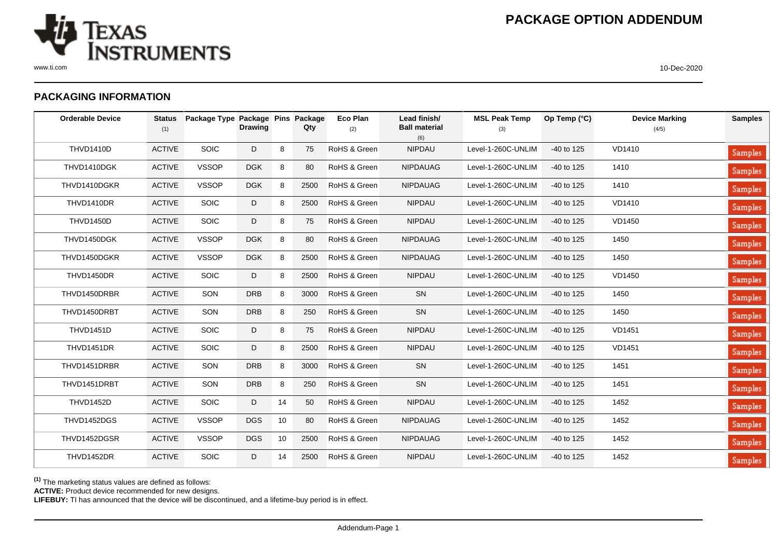

## **PACKAGING INFORMATION**

| <b>Orderable Device</b> | <b>Status</b><br>(1) | Package Type Package Pins Package | <b>Drawing</b> |    | Qty  | <b>Eco Plan</b><br>(2) | Lead finish/<br><b>Ball material</b><br>(6) | <b>MSL Peak Temp</b><br>(3) | Op Temp (°C) | <b>Device Marking</b><br>(4/5) | <b>Samples</b> |
|-------------------------|----------------------|-----------------------------------|----------------|----|------|------------------------|---------------------------------------------|-----------------------------|--------------|--------------------------------|----------------|
| <b>THVD1410D</b>        | <b>ACTIVE</b>        | SOIC                              | D              | 8  | 75   | RoHS & Green           | <b>NIPDAU</b>                               | Level-1-260C-UNLIM          | $-40$ to 125 | VD1410                         | Samples        |
| THVD1410DGK             | <b>ACTIVE</b>        | <b>VSSOP</b>                      | <b>DGK</b>     | 8  | 80   | RoHS & Green           | <b>NIPDAUAG</b>                             | Level-1-260C-UNLIM          | -40 to 125   | 1410                           | Samples        |
| THVD1410DGKR            | <b>ACTIVE</b>        | <b>VSSOP</b>                      | <b>DGK</b>     | 8  | 2500 | RoHS & Green           | <b>NIPDAUAG</b>                             | Level-1-260C-UNLIM          | -40 to 125   | 1410                           | Samples        |
| THVD1410DR              | <b>ACTIVE</b>        | SOIC                              | D              | 8  | 2500 | RoHS & Green           | <b>NIPDAU</b>                               | Level-1-260C-UNLIM          | $-40$ to 125 | VD1410                         | Samples        |
| <b>THVD1450D</b>        | <b>ACTIVE</b>        | SOIC                              | D              | 8  | 75   | RoHS & Green           | <b>NIPDAU</b>                               | Level-1-260C-UNLIM          | $-40$ to 125 | VD1450                         | <b>Samples</b> |
| THVD1450DGK             | <b>ACTIVE</b>        | <b>VSSOP</b>                      | <b>DGK</b>     | 8  | 80   | RoHS & Green           | <b>NIPDAUAG</b>                             | Level-1-260C-UNLIM          | $-40$ to 125 | 1450                           | Samples        |
| THVD1450DGKR            | <b>ACTIVE</b>        | <b>VSSOP</b>                      | <b>DGK</b>     | 8  | 2500 | RoHS & Green           | <b>NIPDAUAG</b>                             | Level-1-260C-UNLIM          | -40 to 125   | 1450                           | Samples        |
| THVD1450DR              | <b>ACTIVE</b>        | SOIC                              | D              | 8  | 2500 | RoHS & Green           | <b>NIPDAU</b>                               | Level-1-260C-UNLIM          | $-40$ to 125 | VD1450                         | Samples        |
| THVD1450DRBR            | <b>ACTIVE</b>        | SON                               | <b>DRB</b>     | 8  | 3000 | RoHS & Green           | SN                                          | Level-1-260C-UNLIM          | $-40$ to 125 | 1450                           | Samples        |
| THVD1450DRBT            | <b>ACTIVE</b>        | SON                               | <b>DRB</b>     | 8  | 250  | RoHS & Green           | SN                                          | Level-1-260C-UNLIM          | $-40$ to 125 | 1450                           | <b>Samples</b> |
| <b>THVD1451D</b>        | <b>ACTIVE</b>        | SOIC                              | D              | 8  | 75   | RoHS & Green           | <b>NIPDAU</b>                               | Level-1-260C-UNLIM          | $-40$ to 125 | <b>VD1451</b>                  | <b>Samples</b> |
| THVD1451DR              | <b>ACTIVE</b>        | SOIC                              | D              | 8  | 2500 | RoHS & Green           | <b>NIPDAU</b>                               | Level-1-260C-UNLIM          | -40 to 125   | <b>VD1451</b>                  | <b>Samples</b> |
| THVD1451DRBR            | <b>ACTIVE</b>        | SON                               | <b>DRB</b>     | 8  | 3000 | RoHS & Green           | SN                                          | Level-1-260C-UNLIM          | -40 to 125   | 1451                           | <b>Samples</b> |
| THVD1451DRBT            | <b>ACTIVE</b>        | SON                               | <b>DRB</b>     | 8  | 250  | RoHS & Green           | SN                                          | Level-1-260C-UNLIM          | -40 to 125   | 1451                           | Samples        |
| <b>THVD1452D</b>        | <b>ACTIVE</b>        | SOIC                              | D              | 14 | 50   | RoHS & Green           | <b>NIPDAU</b>                               | Level-1-260C-UNLIM          | -40 to 125   | 1452                           | <b>Samples</b> |
| THVD1452DGS             | <b>ACTIVE</b>        | <b>VSSOP</b>                      | <b>DGS</b>     | 10 | 80   | RoHS & Green           | <b>NIPDAUAG</b>                             | Level-1-260C-UNLIM          | -40 to 125   | 1452                           | <b>Samples</b> |
| THVD1452DGSR            | <b>ACTIVE</b>        | <b>VSSOP</b>                      | <b>DGS</b>     | 10 | 2500 | RoHS & Green           | <b>NIPDAUAG</b>                             | Level-1-260C-UNLIM          | -40 to 125   | 1452                           | Samples        |
| THVD1452DR              | <b>ACTIVE</b>        | SOIC                              | D              | 14 | 2500 | RoHS & Green           | <b>NIPDAU</b>                               | Level-1-260C-UNLIM          | -40 to 125   | 1452                           | Samples        |

**(1)** The marketing status values are defined as follows:

**ACTIVE:** Product device recommended for new designs.

**LIFEBUY:** TI has announced that the device will be discontinued, and a lifetime-buy period is in effect.